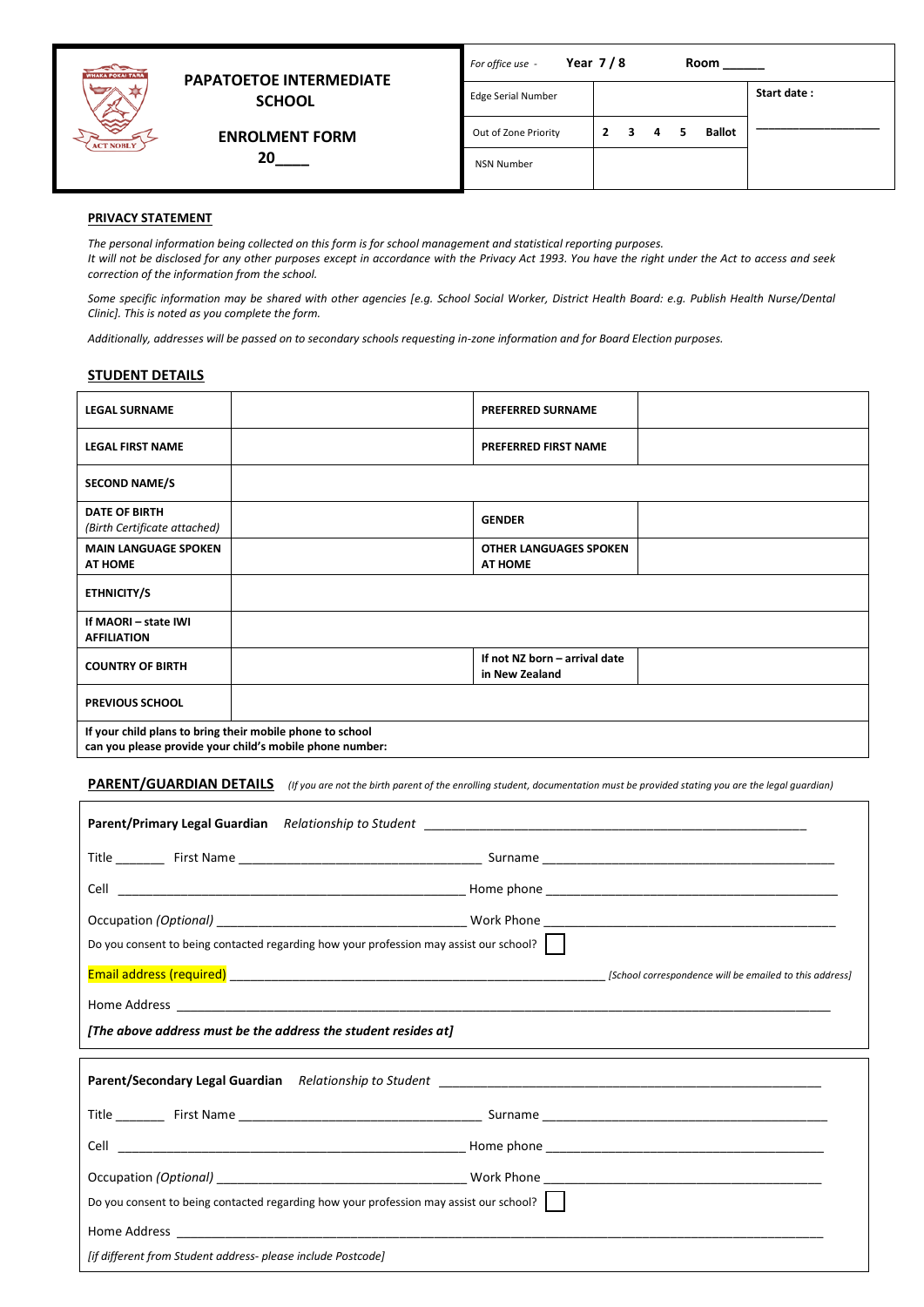

# **PAPATOETOE INTERMEDIATE SCHOOL**

 **ENROLMENT FORM 20\_\_\_\_**

| For office use -          | Year $7/8$     |   |   |     | Room          |             |
|---------------------------|----------------|---|---|-----|---------------|-------------|
| <b>Edge Serial Number</b> |                |   |   |     |               | Start date: |
| Out of Zone Priority      | $\overline{2}$ | 3 | 4 | - 5 | <b>Ballot</b> |             |
| <b>NSN Number</b>         |                |   |   |     |               |             |
|                           |                |   |   |     |               |             |

# **PRIVACY STATEMENT**

*The personal information being collected on this form is for school management and statistical reporting purposes. It will not be disclosed for any other purposes except in accordance with the Privacy Act 1993. You have the right under the Act to access and seek correction of the information from the school.* 

*Some specific information may be shared with other agencies [e.g. School Social Worker, District Health Board: e.g. Publish Health Nurse/Dental Clinic]. This is noted as you complete the form.* 

*Additionally, addresses will be passed on to secondary schools requesting in-zone information and for Board Election purposes.*

#### **STUDENT DETAILS**

| <b>LEGAL SURNAME</b>                                      |                                                                     | <b>PREFERRED SURNAME</b>                        |  |
|-----------------------------------------------------------|---------------------------------------------------------------------|-------------------------------------------------|--|
| <b>LEGAL FIRST NAME</b>                                   |                                                                     | PREFERRED FIRST NAME                            |  |
| <b>SECOND NAME/S</b>                                      |                                                                     |                                                 |  |
| <b>DATE OF BIRTH</b><br>(Birth Certificate attached)      |                                                                     | <b>GENDER</b>                                   |  |
| <b>MAIN LANGUAGE SPOKEN</b><br><b>AT HOME</b>             |                                                                     | <b>OTHER LANGUAGES SPOKEN</b><br><b>AT HOME</b> |  |
| <b>ETHNICITY/S</b>                                        |                                                                     |                                                 |  |
| If MAORI - state IWI<br><b>AFFILIATION</b>                |                                                                     |                                                 |  |
| <b>COUNTRY OF BIRTH</b>                                   |                                                                     | If not NZ born - arrival date<br>in New Zealand |  |
| <b>PREVIOUS SCHOOL</b>                                    |                                                                     |                                                 |  |
| If your child plans to bring their mobile phone to school | اسمطمستمر معرمطم مانطممه والبانطو سيمتدمان بمعتمر مقممام يتميز عرمم |                                                 |  |

**can you please provide your child's mobile phone number:**

**PARENT/GUARDIAN DETAILS** *(If you are not the birth parent of the enrolling student, documentation must be provided stating you are the legal guardian)*

| Do you consent to being contacted regarding how your profession may assist our school?                               |  |
|----------------------------------------------------------------------------------------------------------------------|--|
|                                                                                                                      |  |
|                                                                                                                      |  |
| [The above address must be the address the student resides at]                                                       |  |
| <b>Parent/Secondary Legal Guardian</b> Relationship to Student Number 2014 1996 1997 1998 1999 1999 1999 1999 1999 1 |  |
|                                                                                                                      |  |
|                                                                                                                      |  |
|                                                                                                                      |  |
| Do you consent to being contacted regarding how your profession may assist our school?                               |  |
|                                                                                                                      |  |
| [if different from Student address- please include Postcode]                                                         |  |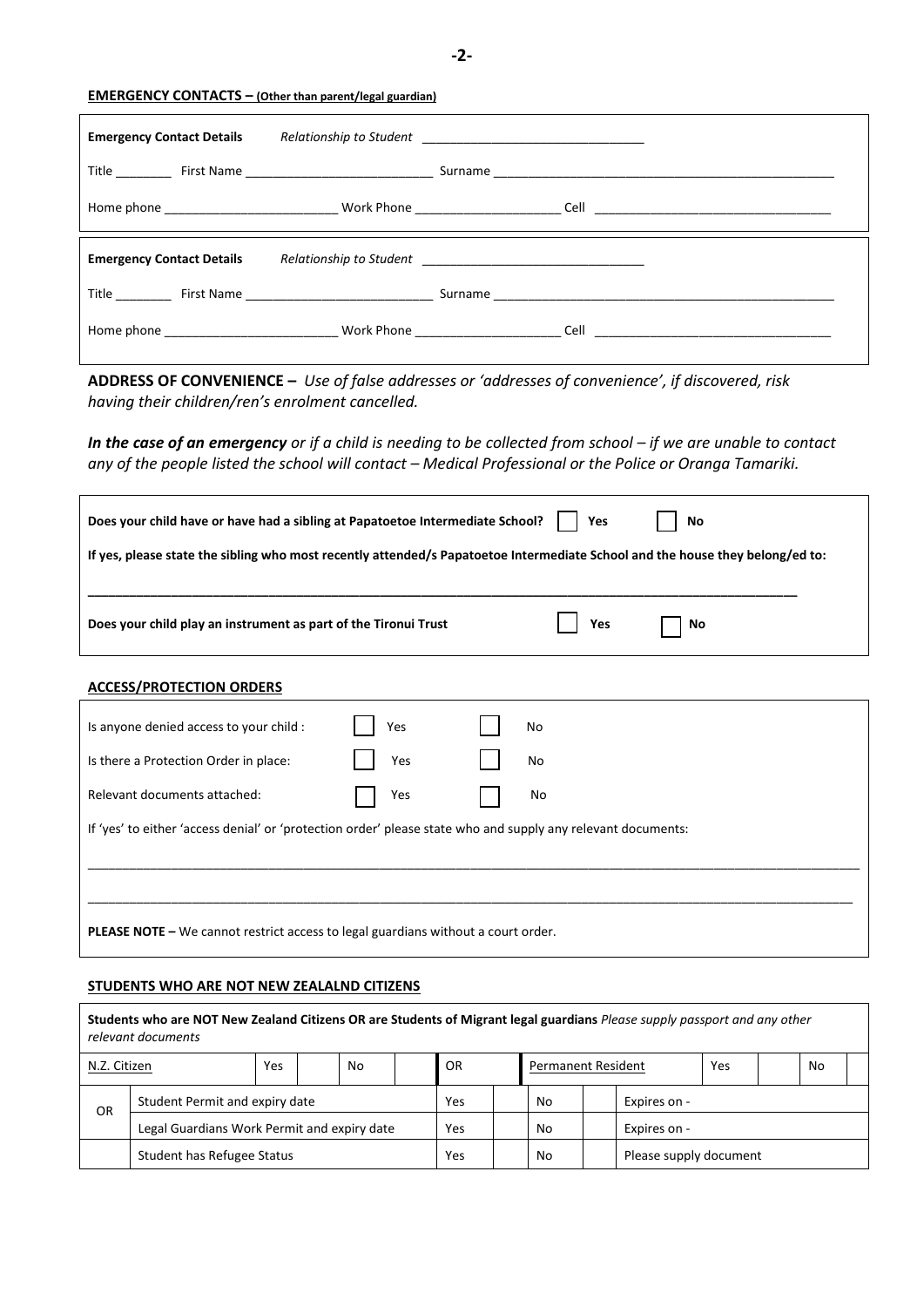**-2-**

# **EMERGENCY CONTACTS – (Other than parent/legal guardian)**

| <b>Emergency Contact Details</b> |  |
|----------------------------------|--|
|                                  |  |
|                                  |  |
|                                  |  |
| <b>Emergency Contact Details</b> |  |
|                                  |  |

**ADDRESS OF CONVENIENCE –** *Use of false addresses or 'addresses of convenience', if discovered, risk having their children/ren's enrolment cancelled.* 

*In the case of an emergency or if a child is needing to be collected from school – if we are unable to contact* any of the people listed the school will contact - Medical Professional or the Police or Oranga Tamariki.

| Does your child have or have had a sibling at Papatoetoe Intermediate School?                                                 | Yes   | No |  |  |  |
|-------------------------------------------------------------------------------------------------------------------------------|-------|----|--|--|--|
| If yes, please state the sibling who most recently attended/s Papatoetoe Intermediate School and the house they belong/ed to: |       |    |  |  |  |
|                                                                                                                               |       |    |  |  |  |
| Does your child play an instrument as part of the Tironui Trust                                                               | . Yes | No |  |  |  |

## **ACCESS/PROTECTION ORDERS**

| Is anyone denied access to your child :                                                                      | Yes | No |
|--------------------------------------------------------------------------------------------------------------|-----|----|
| Is there a Protection Order in place:                                                                        | Yes | No |
| Relevant documents attached:                                                                                 | Yes | No |
| If 'yes' to either 'access denial' or 'protection order' please state who and supply any relevant documents: |     |    |
|                                                                                                              |     |    |
|                                                                                                              |     |    |
| <b>PLEASE NOTE - We cannot restrict access to legal guardians without a court order.</b>                     |     |    |

## **STUDENTS WHO ARE NOT NEW ZEALALND CITIZENS**

|                                             | Students who are NOT New Zealand Citizens OR are Students of Migrant legal guardians Please supply passport and any other<br>relevant documents |     |  |     |  |    |                        |                           |  |     |  |    |  |
|---------------------------------------------|-------------------------------------------------------------------------------------------------------------------------------------------------|-----|--|-----|--|----|------------------------|---------------------------|--|-----|--|----|--|
| N.Z. Citizen                                |                                                                                                                                                 | Yes |  | No  |  | 0R |                        | <b>Permanent Resident</b> |  | Yes |  | No |  |
| Student Permit and expiry date<br>OR        |                                                                                                                                                 |     |  | Yes |  | No | Expires on -           |                           |  |     |  |    |  |
| Legal Guardians Work Permit and expiry date |                                                                                                                                                 |     |  | Yes |  | No | Expires on -           |                           |  |     |  |    |  |
| Student has Refugee Status                  |                                                                                                                                                 |     |  | Yes |  | No | Please supply document |                           |  |     |  |    |  |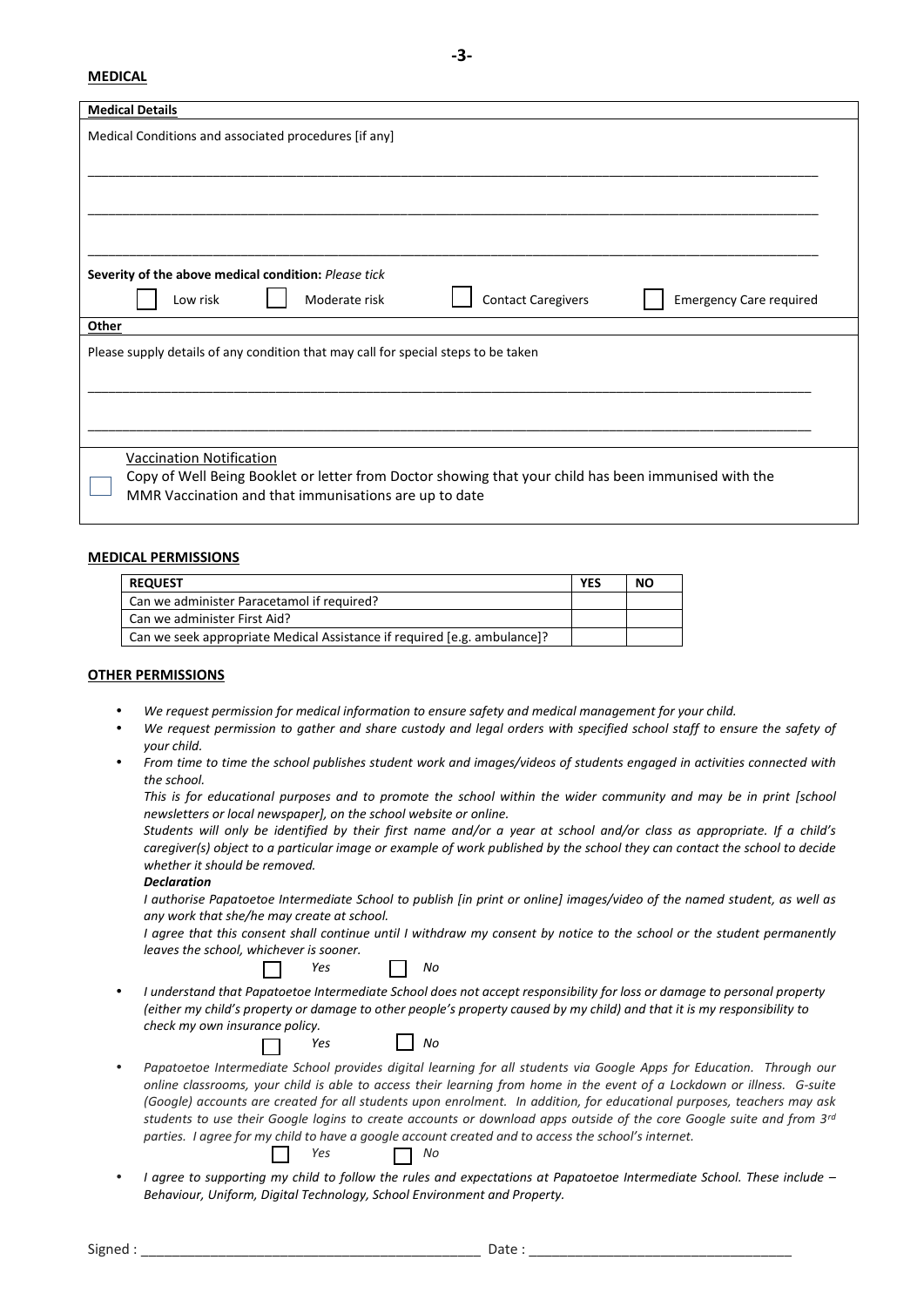#### **MEDICAL**

| <b>Medical Details</b>                                                                                                                                                                    |
|-------------------------------------------------------------------------------------------------------------------------------------------------------------------------------------------|
| Medical Conditions and associated procedures [if any]                                                                                                                                     |
|                                                                                                                                                                                           |
| Severity of the above medical condition: Please tick<br><b>Contact Caregivers</b><br>Moderate risk<br><b>Emergency Care required</b><br>Low risk                                          |
| Other                                                                                                                                                                                     |
| Please supply details of any condition that may call for special steps to be taken                                                                                                        |
|                                                                                                                                                                                           |
| Vaccination Notification<br>Copy of Well Being Booklet or letter from Doctor showing that your child has been immunised with the<br>MMR Vaccination and that immunisations are up to date |

#### **MEDICAL PERMISSIONS**

| <b>REQUEST</b>                                                           | <b>YES</b> | <b>NO</b> |
|--------------------------------------------------------------------------|------------|-----------|
| Can we administer Paracetamol if required?                               |            |           |
| Can we administer First Aid?                                             |            |           |
| Can we seek appropriate Medical Assistance if required [e.g. ambulance]? |            |           |

#### **OTHER PERMISSIONS**

- *We request permission for medical information to ensure safety and medical management for your child.*
- *We request permission to gather and share custody and legal orders with specified school staff to ensure the safety of your child.*
- *From time to time the school publishes student work and images/videos of students engaged in activities connected with the school.*

*This is for educational purposes and to promote the school within the wider community and may be in print [school newsletters or local newspaper], on the school website or online.*

*Students will only be identified by their first name and/or a year at school and/or class as appropriate. If a child's caregiver(s) object to a particular image or example of work published by the school they can contact the school to decide whether it should be removed.*

### *Declaration*

*I authorise Papatoetoe Intermediate School to publish [in print or online] images/video of the named student, as well as any work that she/he may create at school.* 

*I agree that this consent shall continue until I withdraw my consent by notice to the school or the student permanently leaves the school, whichever is sooner.* 

| Ves |  | Nο |
|-----|--|----|
|-----|--|----|

 *I understand that Papatoetoe Intermediate School does not accept responsibility for loss or damage to personal property (either my child's property or damage to other people's property caused by my child) and that it is my responsibility to check my own insurance policy.* 

|  | ۷ρς |  |  | Nο |
|--|-----|--|--|----|
|--|-----|--|--|----|

- Papatoetoe Intermediate School provides digital learning for all students via Google Apps for Education. Through our *online classrooms, your child is able to access their learning from home in the event of a Lockdown or illness. G-suite (Google) accounts are created for all students upon enrolment. In addition, for educational purposes, teachers may ask students to use their Google logins to create accounts or download apps outside of the core Google suite and from 3rd parties. I agree for my child to have a google account created and to access the school's internet. Yes No*
- *I agree to supporting my child to follow the rules and expectations at Papatoetoe Intermediate School. These include – Behaviour, Uniform, Digital Technology, School Environment and Property.*